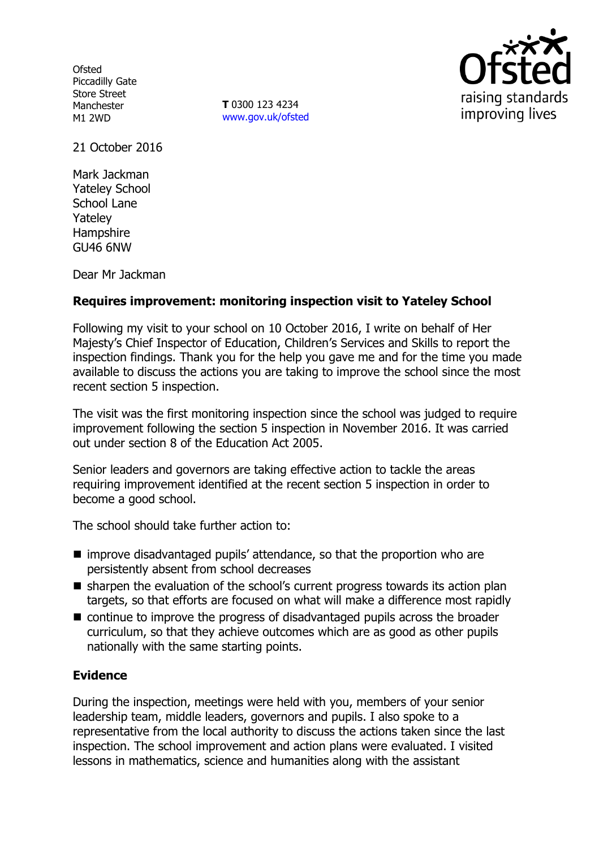**Ofsted** Piccadilly Gate Store Street Manchester M1 2WD

**T** 0300 123 4234 www.gov.uk/ofsted



21 October 2016

Mark Jackman Yateley School School Lane Yateley **Hampshire** GU46 6NW

Dear Mr Jackman

# **Requires improvement: monitoring inspection visit to Yateley School**

Following my visit to your school on 10 October 2016, I write on behalf of Her Majesty's Chief Inspector of Education, Children's Services and Skills to report the inspection findings. Thank you for the help you gave me and for the time you made available to discuss the actions you are taking to improve the school since the most recent section 5 inspection.

The visit was the first monitoring inspection since the school was judged to require improvement following the section 5 inspection in November 2016. It was carried out under section 8 of the Education Act 2005.

Senior leaders and governors are taking effective action to tackle the areas requiring improvement identified at the recent section 5 inspection in order to become a good school.

The school should take further action to:

- improve disadvantaged pupils' attendance, so that the proportion who are persistently absent from school decreases
- $\blacksquare$  sharpen the evaluation of the school's current progress towards its action plan targets, so that efforts are focused on what will make a difference most rapidly
- continue to improve the progress of disadvantaged pupils across the broader curriculum, so that they achieve outcomes which are as good as other pupils nationally with the same starting points.

### **Evidence**

During the inspection, meetings were held with you, members of your senior leadership team, middle leaders, governors and pupils. I also spoke to a representative from the local authority to discuss the actions taken since the last inspection. The school improvement and action plans were evaluated. I visited lessons in mathematics, science and humanities along with the assistant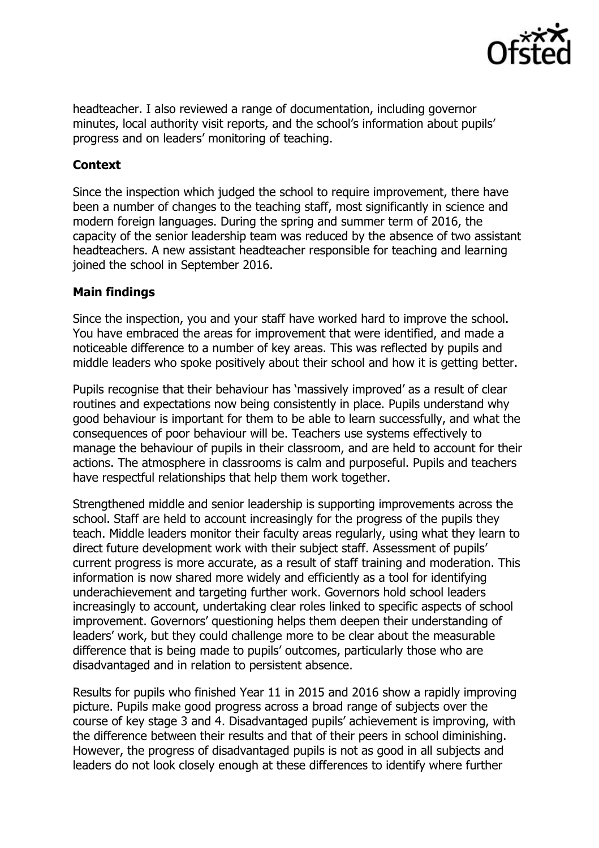

headteacher. I also reviewed a range of documentation, including governor minutes, local authority visit reports, and the school's information about pupils' progress and on leaders' monitoring of teaching.

# **Context**

Since the inspection which judged the school to require improvement, there have been a number of changes to the teaching staff, most significantly in science and modern foreign languages. During the spring and summer term of 2016, the capacity of the senior leadership team was reduced by the absence of two assistant headteachers. A new assistant headteacher responsible for teaching and learning joined the school in September 2016.

# **Main findings**

Since the inspection, you and your staff have worked hard to improve the school. You have embraced the areas for improvement that were identified, and made a noticeable difference to a number of key areas. This was reflected by pupils and middle leaders who spoke positively about their school and how it is getting better.

Pupils recognise that their behaviour has 'massively improved' as a result of clear routines and expectations now being consistently in place. Pupils understand why good behaviour is important for them to be able to learn successfully, and what the consequences of poor behaviour will be. Teachers use systems effectively to manage the behaviour of pupils in their classroom, and are held to account for their actions. The atmosphere in classrooms is calm and purposeful. Pupils and teachers have respectful relationships that help them work together.

Strengthened middle and senior leadership is supporting improvements across the school. Staff are held to account increasingly for the progress of the pupils they teach. Middle leaders monitor their faculty areas regularly, using what they learn to direct future development work with their subject staff. Assessment of pupils' current progress is more accurate, as a result of staff training and moderation. This information is now shared more widely and efficiently as a tool for identifying underachievement and targeting further work. Governors hold school leaders increasingly to account, undertaking clear roles linked to specific aspects of school improvement. Governors' questioning helps them deepen their understanding of leaders' work, but they could challenge more to be clear about the measurable difference that is being made to pupils' outcomes, particularly those who are disadvantaged and in relation to persistent absence.

Results for pupils who finished Year 11 in 2015 and 2016 show a rapidly improving picture. Pupils make good progress across a broad range of subjects over the course of key stage 3 and 4. Disadvantaged pupils' achievement is improving, with the difference between their results and that of their peers in school diminishing. However, the progress of disadvantaged pupils is not as good in all subjects and leaders do not look closely enough at these differences to identify where further